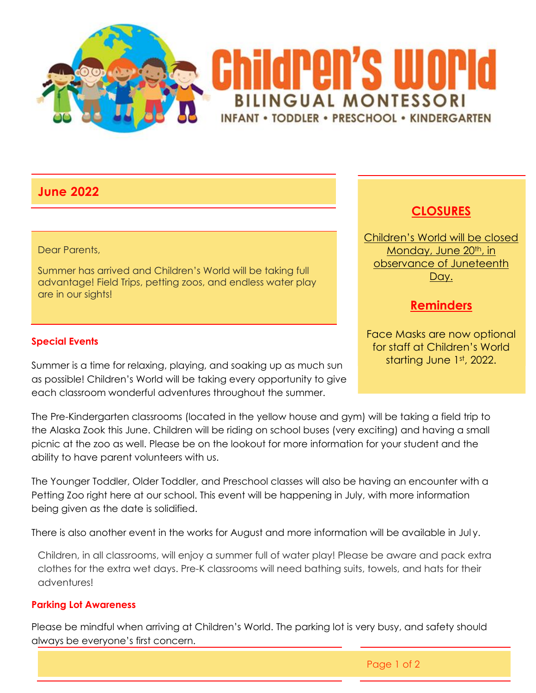

## **June 2022**

#### Dear Parents,

Summer has arrived and Children's World will be taking full advantage! Field Trips, petting zoos, and endless water play are in our sights!

### **Special Events**

Summer is a time for relaxing, playing, and soaking up as much sun as possible! Children's World will be taking every opportunity to give each classroom wonderful adventures throughout the summer.

The Pre-Kindergarten classrooms (located in the yellow house and gym) will be taking a field trip to the Alaska Zook this June. Children will be riding on school buses (very exciting) and having a small picnic at the zoo as well. Please be on the lookout for more information for your student and the ability to have parent volunteers with us.

The Younger Toddler, Older Toddler, and Preschool classes will also be having an encounter with a Petting Zoo right here at our school. This event will be happening in July, with more information being given as the date is solidified.

There is also another event in the works for August and more information will be available in Jul y.

Children, in all classrooms, will enjoy a summer full of water play! Please be aware and pack extra clothes for the extra wet days. Pre-K classrooms will need bathing suits, towels, and hats for their adventures!

### **Parking Lot Awareness**

Please be mindful when arriving at Children's World. The parking lot is very busy, and safety should always be everyone's first concern.

# **CLOSURES**

Children's World will be closed Monday, June 20<sup>th</sup>, in observance of Juneteenth Day.

## **Reminders**

Face Masks are now optional for staff at Children's World starting June 1st, 2022.